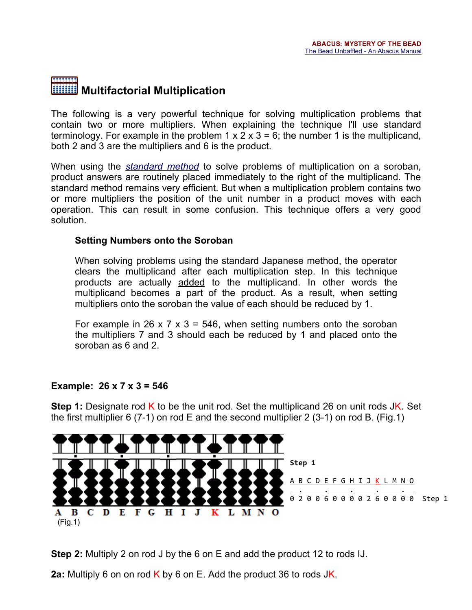# Multifactorial Multiplication

The following is a very powerful technique for solving multiplication problems that contain two or more multipliers. When explaining the technique I'll use standard terminology. For example in the problem  $1 \times 2 \times 3 = 6$ ; the number 1 is the multiplicand, both 2 and 3 are the multipliers and 6 is the product.

When using the *[standard](file:///C:/~totton/abacus/pages.htm#Multiplication1) method* to solve problems of multiplication on a soroban, product answers are routinely placed immediately to the right of the multiplicand. The standard method remains very efficient. But when a multiplication problem contains two or more multipliers the position of the unit number in a product moves with each operation. This can result in some confusion. This technique offers a very good solution.

## Setting Numbers onto the Soroban

When solving problems using the standard Japanese method, the operator clears the multiplicand after each multiplication step. In this technique products are actually added to the multiplicand. In other words the multiplicand becomes a part of the product. As a result, when setting multipliers onto the soroban the value of each should be reduced by 1.

For example in 26 x 7 x 3 = 546, when setting numbers onto the soroban the multipliers 7 and 3 should each be reduced by 1 and placed onto the soroban as 6 and 2.

## Example:  $26 \times 7 \times 3 = 546$

**Step 1:** Designate rod K to be the unit rod. Set the multiplicand 26 on unit rods JK. Set the first multiplier 6 (7-1) on rod E and the second multiplier 2 (3-1) on rod B. (Fig.1)



Step 2: Multiply 2 on rod J by the 6 on E and add the product 12 to rods IJ.

2a: Multiply 6 on on rod K by 6 on E. Add the product 36 to rods  $JK$ .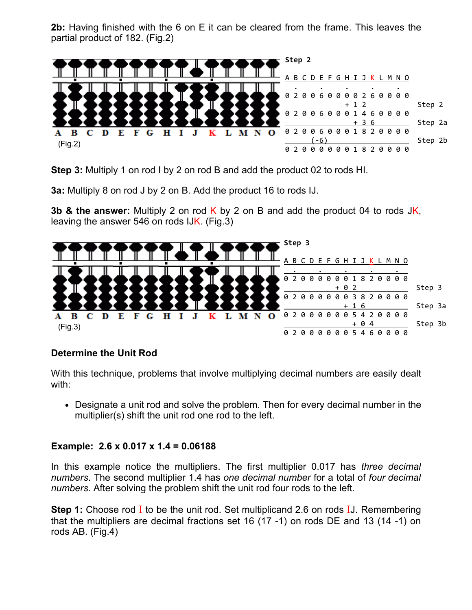2b: Having finished with the 6 on E it can be cleared from the frame. This leaves the partial product of 182. (Fig.2)



Step 3: Multiply 1 on rod I by 2 on rod B and add the product 02 to rods HI.

3a: Multiply 8 on rod J by 2 on B. Add the product 16 to rods IJ.

3b & the answer: Multiply 2 on rod K by 2 on B and add the product 04 to rods JK, leaving the answer 546 on rods IJK. (Fig.3)



## Determine the Unit Rod

With this technique, problems that involve multiplying decimal numbers are easily dealt with:

Designate a unit rod and solve the problem. Then for every decimal number in the multiplier(s) shift the unit rod one rod to the left.

## Example: 2.6 x 0.017 x 1.4 = 0.06188

In this example notice the multipliers. The first multiplier 0.017 has *three decimal numbers*. The second multiplier 1.4 has *one decimal number* for a total of *four decimal numbers*. After solving the problem shift the unit rod four rods to the left.

**Step 1:** Choose rod I to be the unit rod. Set multiplicand 2.6 on rods IJ. Remembering that the multipliers are decimal fractions set 16  $(17 - 1)$  on rods DE and 13  $(14 - 1)$  on rods AB. (Fig.4)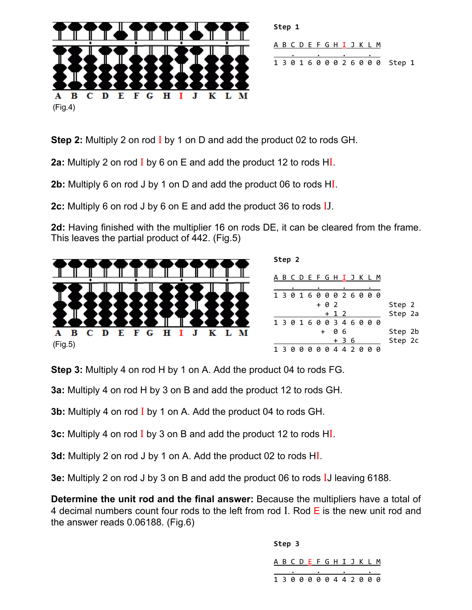

Step 1 A B C D E F G H I J K L M . <u>. . . .</u> 1 3 0 1 6 0 0 0 2 6 0 0 0 Step 1

Step 2: Multiply 2 on rod I by 1 on D and add the product 02 to rods GH.

2a: Multiply 2 on rod  $\overline{I}$  by 6 on E and add the product 12 to rods H $\overline{I}$ .

2b: Multiply 6 on rod J by 1 on D and add the product 06 to rods HI.

2c: Multiply 6 on rod J by 6 on E and add the product 36 to rods IJ.

2d: Having finished with the multiplier 16 on rods DE, it can be cleared from the frame. This leaves the partial product of 442. (Fig.5)



| Step 2 |     |   |     |  |  |                           |       |      |  |  |  |  |         |  |
|--------|-----|---|-----|--|--|---------------------------|-------|------|--|--|--|--|---------|--|
|        |     |   |     |  |  | A B C D E F G H I J K L M |       |      |  |  |  |  |         |  |
|        |     |   |     |  |  |                           |       |      |  |  |  |  |         |  |
|        |     |   |     |  |  | 1301600026000             |       |      |  |  |  |  |         |  |
|        |     |   |     |  |  | + 0 2                     |       |      |  |  |  |  | Step 2  |  |
|        |     |   |     |  |  |                           | + 1 2 |      |  |  |  |  | Step 2a |  |
|        |     |   |     |  |  | 1301600346000             |       |      |  |  |  |  |         |  |
|        | $+$ |   |     |  |  |                           | 06    |      |  |  |  |  | Step 2b |  |
|        |     |   |     |  |  |                           |       | + 36 |  |  |  |  | Step 2c |  |
|        |     | и | - 0 |  |  | 000442000                 |       |      |  |  |  |  |         |  |

Step 3: Multiply 4 on rod H by 1 on A. Add the product 04 to rods FG.

3a: Multiply 4 on rod H by 3 on B and add the product 12 to rods GH.

**3b:** Multiply 4 on rod I by 1 on A. Add the product 04 to rods GH.

3c: Multiply 4 on rod I by 3 on B and add the product 12 to rods HI.

3d: Multiply 2 on rod J by 1 on A. Add the product 02 to rods HI.

3e: Multiply 2 on rod J by 3 on B and add the product 06 to rods IJ leaving 6188.

Determine the unit rod and the final answer: Because the multipliers have a total of 4 decimal numbers count four rods to the left from rod I. Rod  $E$  is the new unit rod and the answer reads 0.06188. (Fig.6)

> Step 3 A B C D E F G H I J K L M . <u>. . . .</u> 1 3 0 0 0 0 0 4 4 2 0 0 0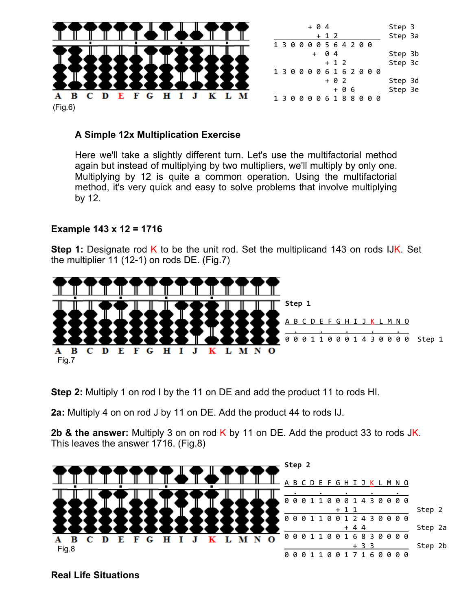

#### A Simple 12x Multiplication Exercise

Here we'll take a slightly different turn. Let's use the multifactorial method again but instead of multiplying by two multipliers, we'll multiply by only one. Multiplying by 12 is quite a common operation. Using the multifactorial method, it's very quick and easy to solve problems that involve multiplying by 12.

#### Example 143 x 12 = 1716

**Step 1:** Designate rod K to be the unit rod. Set the multiplicand 143 on rods IJK. Set the multiplier 11 (12-1) on rods DE. (Fig.7)



Step 2: Multiply 1 on rod I by the 11 on DE and add the product 11 to rods HI.

2a: Multiply 4 on on rod J by 11 on DE. Add the product 44 to rods IJ.

2b & the answer: Multiply 3 on on rod  $K$  by 11 on DE. Add the product 33 to rods JK. This leaves the answer 1716. (Fig.8)